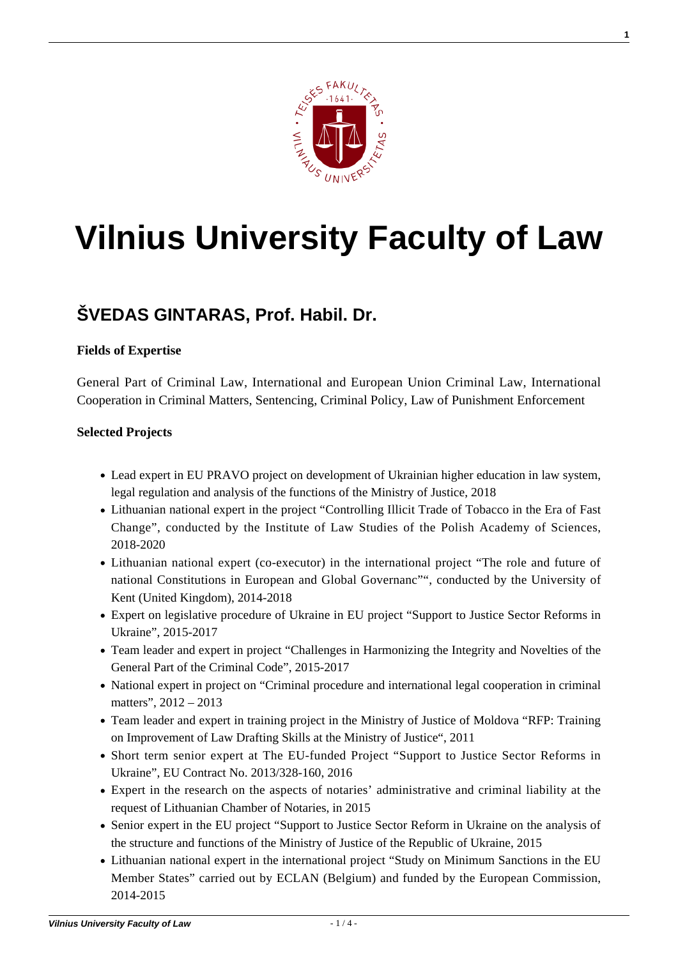

# **[Vilnius University Faculty of Law](https://www.tf.vu.lt/)**

## **[ŠVEDAS GINTARAS, Prof. Habil. Dr.](https://www.tf.vu.lt/about_us/science-centers/science-center-of-criminal-policy-and-european-union-criminal-law/svedas-gintaras-prof-habil-dr/)**

#### **Fields of Expertise**

General Part of Criminal Law, International and European Union Criminal Law, International Cooperation in Criminal Matters, Sentencing, Criminal Policy, Law of Punishment Enforcement

#### **Selected Projects**

- Lead expert in EU PRAVO project on development of Ukrainian higher education in law system, legal regulation and analysis of the functions of the Ministry of Justice, 2018
- Lithuanian national expert in the project "Controlling Illicit Trade of Tobacco in the Era of Fast Change", conducted by the Institute of Law Studies of the Polish Academy of Sciences, 2018-2020
- Lithuanian national expert (co-executor) in the international project "The role and future of national Constitutions in European and Global Governanc"", conducted by the University of Kent (United Kingdom), 2014-2018
- Expert on legislative procedure of Ukraine in EU project "Support to Justice Sector Reforms in Ukraine", 2015-2017
- Team leader and expert in project "Challenges in Harmonizing the Integrity and Novelties of the General Part of the Criminal Code", 2015-2017
- National expert in project on "Criminal procedure and international legal cooperation in criminal matters", 2012 – 2013
- Team leader and expert in training project in the Ministry of Justice of Moldova "RFP: Training on Improvement of Law Drafting Skills at the Ministry of Justice", 2011
- Short term senior expert at The EU-funded Project "Support to Justice Sector Reforms in Ukraine", EU Contract No. 2013/328-160, 2016
- Expert in the research on the aspects of notaries' administrative and criminal liability at the request of Lithuanian Chamber of Notaries, in 2015
- Senior expert in the EU project "Support to Justice Sector Reform in Ukraine on the analysis of the structure and functions of the Ministry of Justice of the Republic of Ukraine, 2015
- Lithuanian national expert in the international project "Study on Minimum Sanctions in the EU Member States" carried out by ECLAN (Belgium) and funded by the European Commission, 2014-2015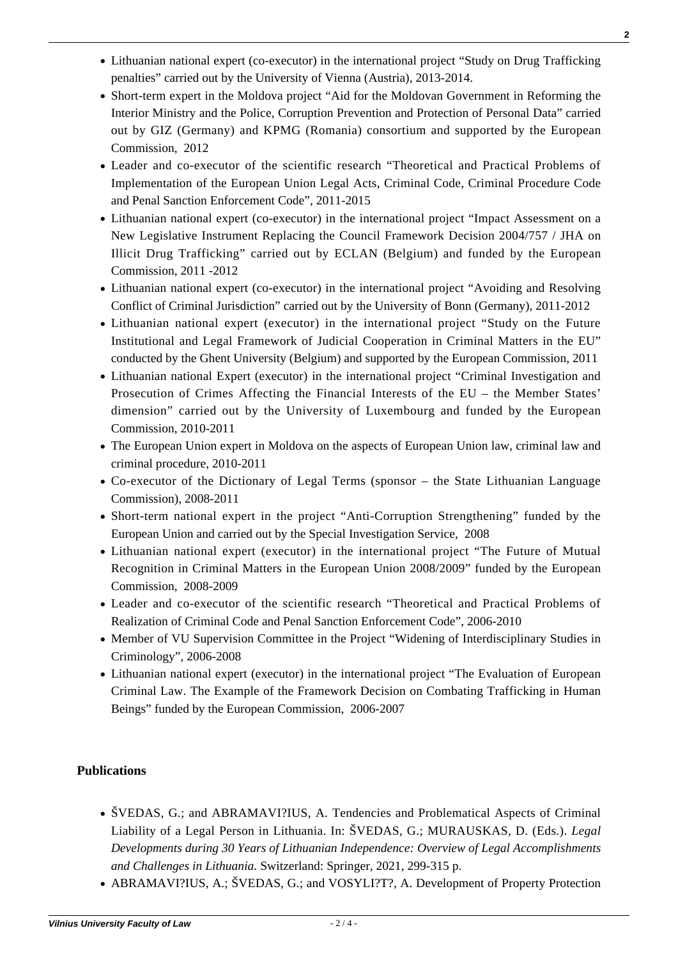- Lithuanian national expert (co-executor) in the international project "Study on Drug Trafficking penalties" carried out by the University of Vienna (Austria), 2013-2014.
- Short-term expert in the Moldova project "Aid for the Moldovan Government in Reforming the Interior Ministry and the Police, Corruption Prevention and Protection of Personal Data" carried out by GIZ (Germany) and KPMG (Romania) consortium and supported by the European Commission, 2012
- Leader and co-executor of the scientific research "Theoretical and Practical Problems of Implementation of the European Union Legal Acts, Criminal Code, Criminal Procedure Code and Penal Sanction Enforcement Code", 2011-2015
- Lithuanian national expert (co-executor) in the international project "Impact Assessment on a New Legislative Instrument Replacing the Council Framework Decision 2004/757 / JHA on Illicit Drug Trafficking" carried out by ECLAN (Belgium) and funded by the European Commission, 2011 -2012
- Lithuanian national expert (co-executor) in the international project "Avoiding and Resolving Conflict of Criminal Jurisdiction" carried out by the University of Bonn (Germany), 2011-2012
- Lithuanian national expert (executor) in the international project "Study on the Future Institutional and Legal Framework of Judicial Cooperation in Criminal Matters in the EU" conducted by the Ghent University (Belgium) and supported by the European Commission, 2011
- Lithuanian national Expert (executor) in the international project "Criminal Investigation and Prosecution of Crimes Affecting the Financial Interests of the EU – the Member States' dimension" carried out by the University of Luxembourg and funded by the European Commission, 2010-2011
- The European Union expert in Moldova on the aspects of European Union law, criminal law and criminal procedure, 2010-2011
- Co-executor of the Dictionary of Legal Terms (sponsor the State Lithuanian Language Commission), 2008-2011
- Short-term national expert in the project "Anti-Corruption Strengthening" funded by the European Union and carried out by the Special Investigation Service, 2008
- Lithuanian national expert (executor) in the international project "The Future of Mutual Recognition in Criminal Matters in the European Union 2008/2009" funded by the European Commission, 2008-2009
- Leader and co-executor of the scientific research "Theoretical and Practical Problems of Realization of Criminal Code and Penal Sanction Enforcement Code", 2006-2010
- Member of VU Supervision Committee in the Project "Widening of Interdisciplinary Studies in Criminology", 2006-2008
- Lithuanian national expert (executor) in the international project "The Evaluation of European Criminal Law. The Example of the Framework Decision on Combating Trafficking in Human Beings" funded by the European Commission, 2006-2007

### **Publications**

- [ŠVEDAS, G.; and ABRAMAVI?IUS, A. Tendencies and Problematical Aspects of Criminal](http://www.tf.vu.lt/wp-content/uploads/2017/09/16-Tendencies-and-Problematical-Aspects-of-Criminal-Liability-of-a-Legal-Person-in-Lithuania.pdf) [Liability of a Legal Person in Lithuania. In: ŠVEDAS, G.; MURAUSKAS, D. \(Eds.\).](http://www.tf.vu.lt/wp-content/uploads/2017/09/16-Tendencies-and-Problematical-Aspects-of-Criminal-Liability-of-a-Legal-Person-in-Lithuania.pdf) *[Legal](http://www.tf.vu.lt/wp-content/uploads/2017/09/16-Tendencies-and-Problematical-Aspects-of-Criminal-Liability-of-a-Legal-Person-in-Lithuania.pdf) [Developments during 30 Years of Lithuanian Independence: Overview of Legal Accomplishments](http://www.tf.vu.lt/wp-content/uploads/2017/09/16-Tendencies-and-Problematical-Aspects-of-Criminal-Liability-of-a-Legal-Person-in-Lithuania.pdf) [and Challenges in Lithuania.](http://www.tf.vu.lt/wp-content/uploads/2017/09/16-Tendencies-and-Problematical-Aspects-of-Criminal-Liability-of-a-Legal-Person-in-Lithuania.pdf)* [Switzerland: Springer, 2021, 299-315 p.](http://www.tf.vu.lt/wp-content/uploads/2017/09/16-Tendencies-and-Problematical-Aspects-of-Criminal-Liability-of-a-Legal-Person-in-Lithuania.pdf)
- [ABRAMAVI?IUS, A.; ŠVEDAS, G.; and VOSYLI?T?, A. Development of Property Protection](http://www.tf.vu.lt/wp-content/uploads/2017/09/3.-Development-of-Property-Protection-in-Criminal-Law-During-Lithuanias-Independence.pdf)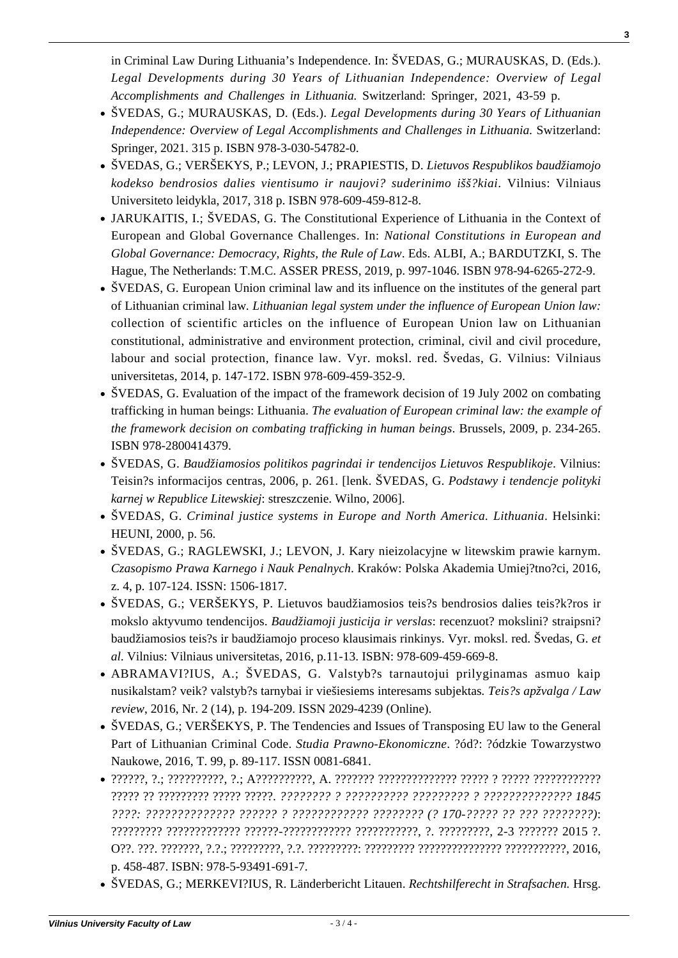[in Criminal Law During Lithuania's Independence. In: ŠVEDAS, G.; MURAUSKAS, D. \(Eds.\).](http://www.tf.vu.lt/wp-content/uploads/2017/09/3.-Development-of-Property-Protection-in-Criminal-Law-During-Lithuanias-Independence.pdf) *[Legal Developments during 30 Years of Lithuanian Independence: Overview of Legal](http://www.tf.vu.lt/wp-content/uploads/2017/09/3.-Development-of-Property-Protection-in-Criminal-Law-During-Lithuanias-Independence.pdf) [Accomplishments and Challenges in Lithuania.](http://www.tf.vu.lt/wp-content/uploads/2017/09/3.-Development-of-Property-Protection-in-Criminal-Law-During-Lithuanias-Independence.pdf)* [Switzerland: Springer, 2021, 43-59 p.](http://www.tf.vu.lt/wp-content/uploads/2017/09/3.-Development-of-Property-Protection-in-Criminal-Law-During-Lithuanias-Independence.pdf)

- ŠVEDAS, G.; MURAUSKAS, D. (Eds.). *Legal Developments during 30 Years of Lithuanian Independence: Overview of Legal Accomplishments and Challenges in Lithuania.* Switzerland: Springer, 2021. 315 p. ISBN 978-3-030-54782-0.
- ŠVEDAS, G.; VERŠEKYS, P.; LEVON, J.; PRAPIESTIS, D. *Lietuvos Respublikos baudžiamojo kodekso bendrosios dalies vientisumo ir naujovi? suderinimo išš?kiai*. Vilnius: Vilniaus Universiteto leidykla, 2017, 318 p. ISBN 978-609-459-812-8.
- JARUKAITIS, I.; ŠVEDAS, G. The Constitutional Experience of Lithuania in the Context of European and Global Governance Challenges. In: *National Constitutions in European and Global Governance: Democracy, Rights, the Rule of Law*. Eds. ALBI, A.; BARDUTZKI, S. The Hague, The Netherlands: T.M.C. ASSER PRESS, 2019, p. 997-1046. ISBN 978-94-6265-272-9.
- ŠVEDAS, G. European Union criminal law and its influence on the institutes of the general part of Lithuanian criminal law*. Lithuanian legal system under the influence of European Union law:* collection of scientific articles on the influence of European Union law on Lithuanian constitutional, administrative and environment protection, criminal, civil and civil procedure, labour and social protection, finance law. Vyr. moksl. red. Švedas, G. Vilnius: Vilniaus universitetas, 2014, p. 147-172. ISBN 978-609-459-352-9.
- ŠVEDAS, G. Evaluation of the impact of the framework decision of 19 July 2002 on combating trafficking in human beings: Lithuania. *The evaluation of European criminal law: the example of the framework decision on combating trafficking in human beings*. Brussels, 2009, p. 234-265. ISBN 978-2800414379.
- ŠVEDAS, G. *Baudžiamosios politikos pagrindai ir tendencijos Lietuvos Respublikoje*. Vilnius: Teisin?s informacijos centras, 2006, p. 261. [lenk. ŠVEDAS, G. *Podstawy i tendencje polityki karnej w Republice Litewskiej*: streszczenie. Wilno, 2006].
- ŠVEDAS, G. *Criminal justice systems in Europe and North America. Lithuania*. Helsinki: HEUNI, 2000, p. 56.
- [ŠVEDAS, G.; RAGLEWSKI, J.; LEVON, J. Kary nieizolacyjne w litewskim prawie karnym.](https://www.czpk.pl/dokumenty/zeszyty/2016/zeszyt4/J._Raglewski,_G._Svedas,_J._Levon-Kary_nieizolacyjne_w_litewskim_prawie_karnym.pdf) *[Czasopismo Prawa Karnego i Nauk Penalnych](https://www.czpk.pl/dokumenty/zeszyty/2016/zeszyt4/J._Raglewski,_G._Svedas,_J._Levon-Kary_nieizolacyjne_w_litewskim_prawie_karnym.pdf)*[. Kraków: Polska Akademia Umiej?tno?ci, 2016,](https://www.czpk.pl/dokumenty/zeszyty/2016/zeszyt4/J._Raglewski,_G._Svedas,_J._Levon-Kary_nieizolacyjne_w_litewskim_prawie_karnym.pdf) [z. 4, p. 107-124. ISSN: 1506-1817.](https://www.czpk.pl/dokumenty/zeszyty/2016/zeszyt4/J._Raglewski,_G._Svedas,_J._Levon-Kary_nieizolacyjne_w_litewskim_prawie_karnym.pdf)
- ŠVEDAS, G.; VERŠEKYS, P. Lietuvos baudžiamosios teis?s bendrosios dalies teis?k?ros ir mokslo aktyvumo tendencijos. *Baudžiamoji justicija ir verslas*: recenzuot? mokslini? straipsni? baudžiamosios teis?s ir baudžiamojo proceso klausimais rinkinys. Vyr. moksl. red. Švedas, G. *et al*. Vilnius: Vilniaus universitetas, 2016, p.11-13. ISBN: 978-609-459-669-8.
- [ABRAMAVI?IUS, A.; ŠVEDAS, G. Valstyb?s tarnautojui prilyginamas asmuo kaip](https://eltalpykla.vdu.lt/bitstream/handle/1/32456/ISSN2029-4239_2016_N_2_14.PG_194-209.pdf?sequence=1&isAllowed=y) [nusikalstam? veik? valstyb?s tarnybai ir viešiesiems interesams subjektas](https://eltalpykla.vdu.lt/bitstream/handle/1/32456/ISSN2029-4239_2016_N_2_14.PG_194-209.pdf?sequence=1&isAllowed=y)*[. Teis?s apžvalga / Law](https://eltalpykla.vdu.lt/bitstream/handle/1/32456/ISSN2029-4239_2016_N_2_14.PG_194-209.pdf?sequence=1&isAllowed=y) [review](https://eltalpykla.vdu.lt/bitstream/handle/1/32456/ISSN2029-4239_2016_N_2_14.PG_194-209.pdf?sequence=1&isAllowed=y)*[, 2016, Nr. 2 \(14\), p. 194-209. ISSN 2029-4239 \(Online\).](https://eltalpykla.vdu.lt/bitstream/handle/1/32456/ISSN2029-4239_2016_N_2_14.PG_194-209.pdf?sequence=1&isAllowed=y)
- ŠVEDAS, G.; VERŠEKYS, P. The Tendencies and Issues of Transposing EU law to the General Part of Lithuanian Criminal Code. *Studia Prawno-Ekonomiczne*. ?ód?: ?ódzkie Towarzystwo Naukowe, 2016, T. 99, p. 89-117. ISSN 0081-6841.
- ??????, ?.; ??????????, ?.; A??????????, A. ??????? ?????????????? ????? ? ????? ???????????? ????? ?? ????????? ????? ?????. *???????? ? ?????????? ????????? ? ?????????????? 1845 ????: ?????????????? ?????? ? ???????????? ???????? (? 170-????? ?? ??? ????????)*: ????????? ????????????? ??????-???????????? ???????????, ?. ?????????, 2-3 ??????? 2015 ?. O??. ???. ???????, ?.?.; ?????????, ?.?. ?????????: ????????? ??????????????? ???????????, 2016, p. 458-487. ISBN: 978-5-93491-691-7.
- ŠVEDAS, G.; MERKEVI?IUS, R. Länderbericht Litauen. *Rechtshilferecht in Strafsachen.* Hrsg.